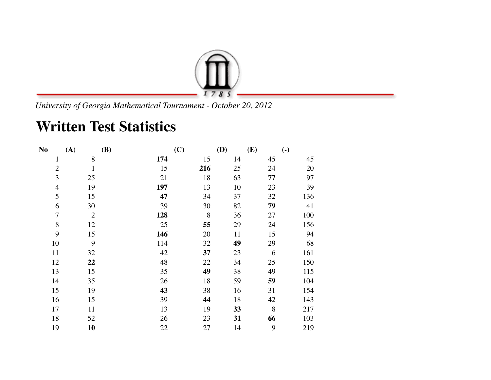

*University of Georgia Mathematical Tournament - October 20, 2012*

## **Written Test Statistics**

| N <sub>0</sub> | (A)            | <b>(B)</b> | (C)     | (D) | (E) | $\left( \text{-} \right)$ |
|----------------|----------------|------------|---------|-----|-----|---------------------------|
| $\mathbf{1}$   | 8              | 174        | 15      | 14  | 45  | 45                        |
| $\overline{2}$ | $\mathbf{1}$   | 15         | 216     | 25  | 24  | 20                        |
| 3              | 25             | 21         | 18      | 63  | 77  | 97                        |
| $\overline{4}$ | 19             | 197        | 13      | 10  | 23  | 39                        |
| 5              | 15             | 47         | 34      | 37  | 32  | 136                       |
| 6              | 30             | 39         | 30      | 82  | 79  | 41                        |
| $\overline{7}$ | $\overline{2}$ | 128        | $\,8\,$ | 36  | 27  | 100                       |
| 8              | 12             | 25         | 55      | 29  | 24  | 156                       |
| 9              | 15             | 146        | 20      | 11  | 15  | 94                        |
| 10             | 9              | 114        | 32      | 49  | 29  | 68                        |
| 11             | 32             | 42         | 37      | 23  | 6   | 161                       |
| 12             | 22             | 48         | 22      | 34  | 25  | 150                       |
| 13             | 15             | 35         | 49      | 38  | 49  | 115                       |
| 14             | 35             | 26         | 18      | 59  | 59  | 104                       |
| 15             | 19             | 43         | 38      | 16  | 31  | 154                       |
| 16             | 15             | 39         | 44      | 18  | 42  | 143                       |
| 17             | 11             | 13         | 19      | 33  | 8   | 217                       |
| 18             | 52             | 26         | 23      | 31  | 66  | 103                       |
| 19             | 10             | 22         | 27      | 14  | 9   | 219                       |